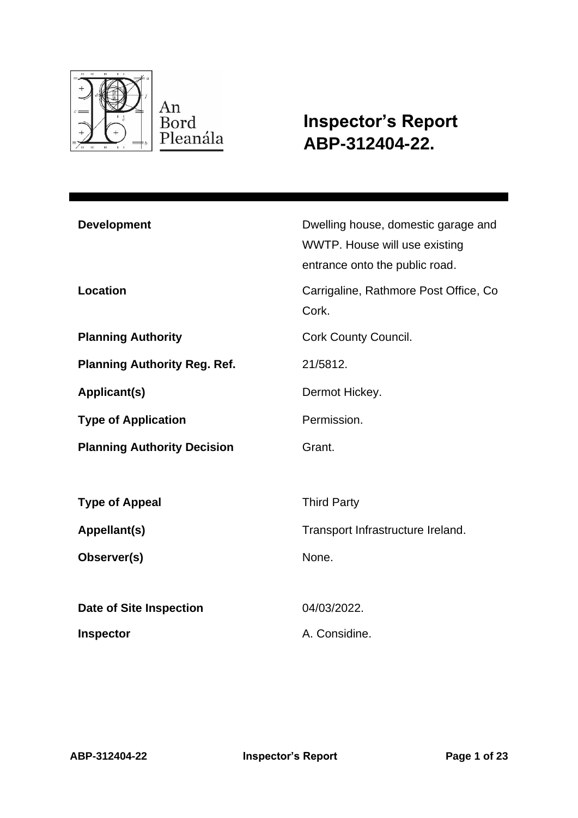

**Inspector's Report ABP-312404-22.**

| <b>Development</b><br>Location      | Dwelling house, domestic garage and<br>WWTP. House will use existing<br>entrance onto the public road.<br>Carrigaline, Rathmore Post Office, Co. |
|-------------------------------------|--------------------------------------------------------------------------------------------------------------------------------------------------|
|                                     | Cork.                                                                                                                                            |
| <b>Planning Authority</b>           | <b>Cork County Council.</b>                                                                                                                      |
| <b>Planning Authority Reg. Ref.</b> | 21/5812.                                                                                                                                         |
| Applicant(s)                        | Dermot Hickey.                                                                                                                                   |
| <b>Type of Application</b>          | Permission.                                                                                                                                      |
| <b>Planning Authority Decision</b>  | Grant.                                                                                                                                           |
|                                     |                                                                                                                                                  |
| <b>Type of Appeal</b>               | <b>Third Party</b>                                                                                                                               |
| Appellant(s)                        | Transport Infrastructure Ireland.                                                                                                                |
| Observer(s)                         | None.                                                                                                                                            |
|                                     |                                                                                                                                                  |
| <b>Date of Site Inspection</b>      | 04/03/2022.                                                                                                                                      |
| <b>Inspector</b>                    | A. Considine.                                                                                                                                    |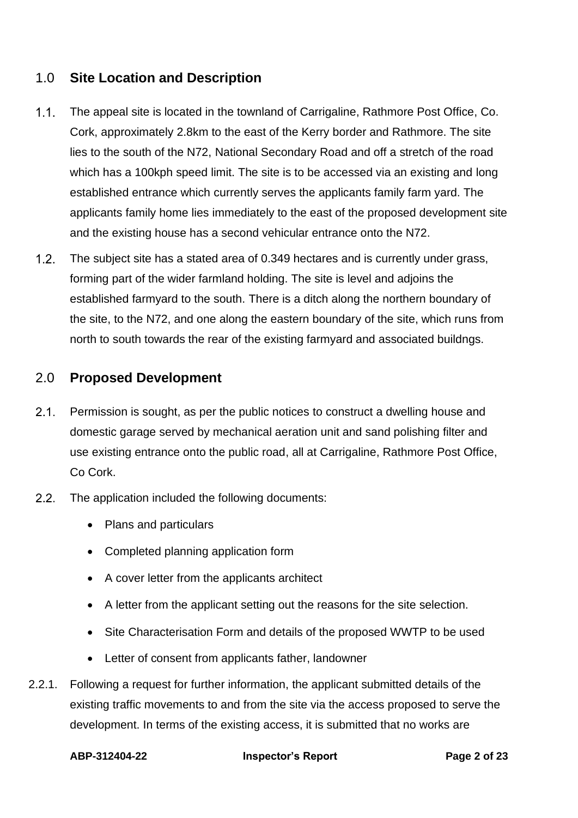# 1.0 **Site Location and Description**

- The appeal site is located in the townland of Carrigaline, Rathmore Post Office, Co.  $1.1.$ Cork, approximately 2.8km to the east of the Kerry border and Rathmore. The site lies to the south of the N72, National Secondary Road and off a stretch of the road which has a 100kph speed limit. The site is to be accessed via an existing and long established entrance which currently serves the applicants family farm yard. The applicants family home lies immediately to the east of the proposed development site and the existing house has a second vehicular entrance onto the N72.
- $1.2.$ The subject site has a stated area of 0.349 hectares and is currently under grass, forming part of the wider farmland holding. The site is level and adjoins the established farmyard to the south. There is a ditch along the northern boundary of the site, to the N72, and one along the eastern boundary of the site, which runs from north to south towards the rear of the existing farmyard and associated buildngs.

## 2.0 **Proposed Development**

- $2.1.$ Permission is sought, as per the public notices to construct a dwelling house and domestic garage served by mechanical aeration unit and sand polishing filter and use existing entrance onto the public road, all at Carrigaline, Rathmore Post Office, Co Cork.
- $2.2.$ The application included the following documents:
	- Plans and particulars
	- Completed planning application form
	- A cover letter from the applicants architect
	- A letter from the applicant setting out the reasons for the site selection.
	- Site Characterisation Form and details of the proposed WWTP to be used
	- Letter of consent from applicants father, landowner
- 2.2.1. Following a request for further information, the applicant submitted details of the existing traffic movements to and from the site via the access proposed to serve the development. In terms of the existing access, it is submitted that no works are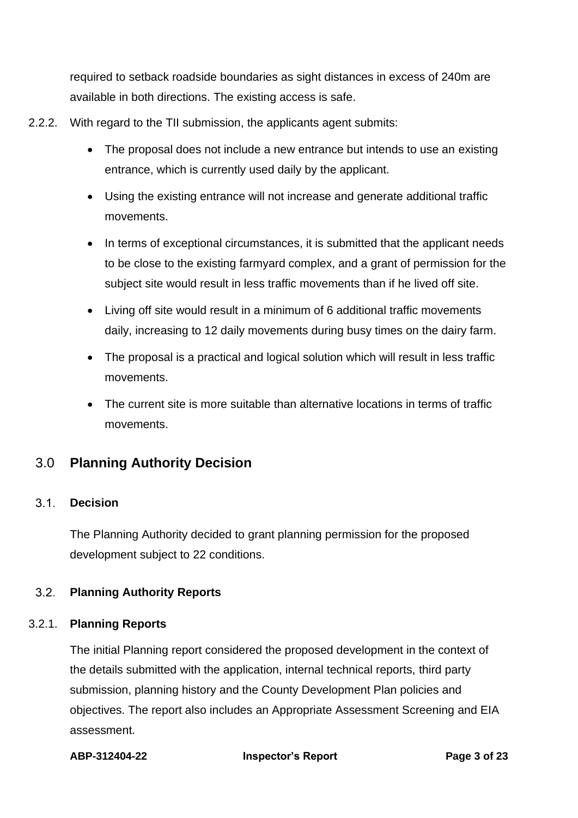required to setback roadside boundaries as sight distances in excess of 240m are available in both directions. The existing access is safe.

- 2.2.2. With regard to the TII submission, the applicants agent submits:
	- The proposal does not include a new entrance but intends to use an existing entrance, which is currently used daily by the applicant.
	- Using the existing entrance will not increase and generate additional traffic movements.
	- In terms of exceptional circumstances, it is submitted that the applicant needs to be close to the existing farmyard complex, and a grant of permission for the subject site would result in less traffic movements than if he lived off site.
	- Living off site would result in a minimum of 6 additional traffic movements daily, increasing to 12 daily movements during busy times on the dairy farm.
	- The proposal is a practical and logical solution which will result in less traffic movements.
	- The current site is more suitable than alternative locations in terms of traffic movements.

# 3.0 **Planning Authority Decision**

#### $3.1.$ **Decision**

The Planning Authority decided to grant planning permission for the proposed development subject to 22 conditions.

#### $3.2<sub>1</sub>$ **Planning Authority Reports**

### 3.2.1. **Planning Reports**

The initial Planning report considered the proposed development in the context of the details submitted with the application, internal technical reports, third party submission, planning history and the County Development Plan policies and objectives. The report also includes an Appropriate Assessment Screening and EIA assessment.

**ABP-312404-22 Inspector's Report Page 3 of 23**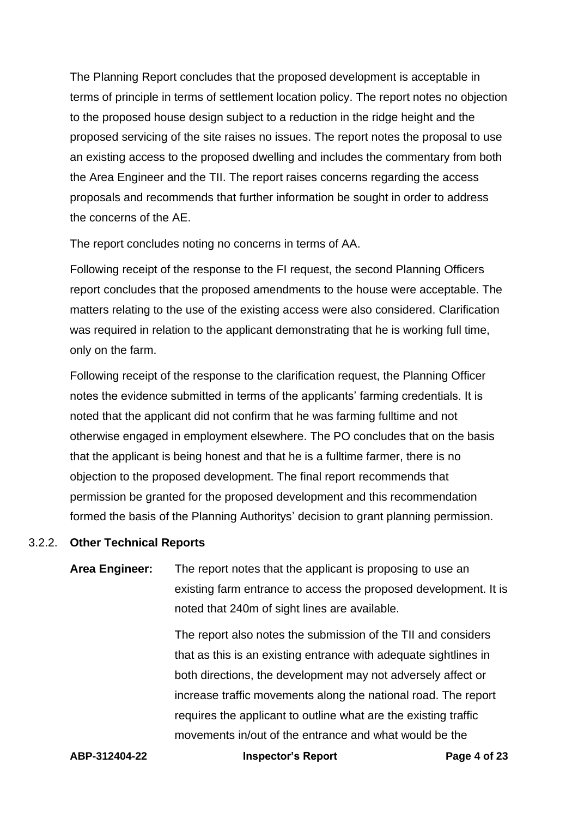The Planning Report concludes that the proposed development is acceptable in terms of principle in terms of settlement location policy. The report notes no objection to the proposed house design subject to a reduction in the ridge height and the proposed servicing of the site raises no issues. The report notes the proposal to use an existing access to the proposed dwelling and includes the commentary from both the Area Engineer and the TII. The report raises concerns regarding the access proposals and recommends that further information be sought in order to address the concerns of the AE.

The report concludes noting no concerns in terms of AA.

Following receipt of the response to the FI request, the second Planning Officers report concludes that the proposed amendments to the house were acceptable. The matters relating to the use of the existing access were also considered. Clarification was required in relation to the applicant demonstrating that he is working full time, only on the farm.

Following receipt of the response to the clarification request, the Planning Officer notes the evidence submitted in terms of the applicants' farming credentials. It is noted that the applicant did not confirm that he was farming fulltime and not otherwise engaged in employment elsewhere. The PO concludes that on the basis that the applicant is being honest and that he is a fulltime farmer, there is no objection to the proposed development. The final report recommends that permission be granted for the proposed development and this recommendation formed the basis of the Planning Authoritys' decision to grant planning permission.

### 3.2.2. **Other Technical Reports**

**Area Engineer:** The report notes that the applicant is proposing to use an existing farm entrance to access the proposed development. It is noted that 240m of sight lines are available.

> The report also notes the submission of the TII and considers that as this is an existing entrance with adequate sightlines in both directions, the development may not adversely affect or increase traffic movements along the national road. The report requires the applicant to outline what are the existing traffic movements in/out of the entrance and what would be the

**ABP-312404-22 Inspector's Report Page 4 of 23**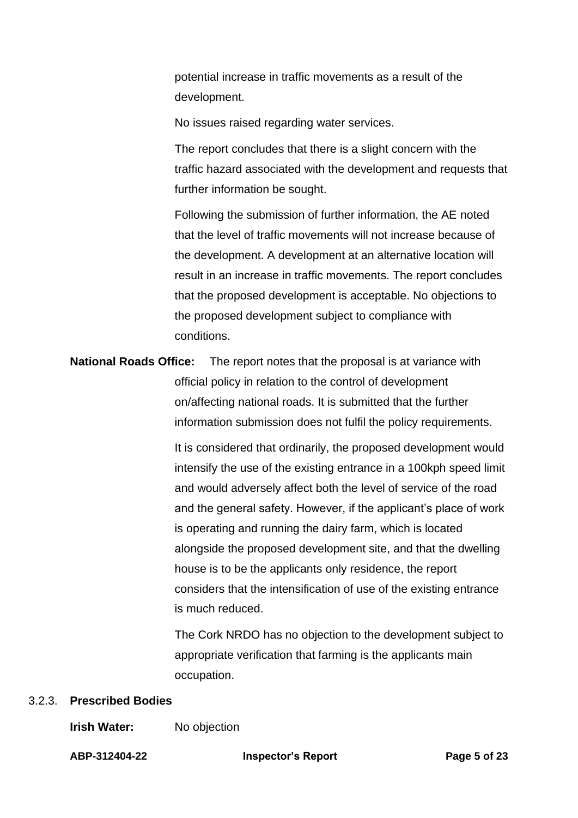potential increase in traffic movements as a result of the development.

No issues raised regarding water services.

The report concludes that there is a slight concern with the traffic hazard associated with the development and requests that further information be sought.

Following the submission of further information, the AE noted that the level of traffic movements will not increase because of the development. A development at an alternative location will result in an increase in traffic movements. The report concludes that the proposed development is acceptable. No objections to the proposed development subject to compliance with conditions.

# **National Roads Office:** The report notes that the proposal is at variance with official policy in relation to the control of development on/affecting national roads. It is submitted that the further information submission does not fulfil the policy requirements.

It is considered that ordinarily, the proposed development would intensify the use of the existing entrance in a 100kph speed limit and would adversely affect both the level of service of the road and the general safety. However, if the applicant's place of work is operating and running the dairy farm, which is located alongside the proposed development site, and that the dwelling house is to be the applicants only residence, the report considers that the intensification of use of the existing entrance is much reduced.

The Cork NRDO has no objection to the development subject to appropriate verification that farming is the applicants main occupation.

### 3.2.3. **Prescribed Bodies**

### **Irish Water:** No objection

**ABP-312404-22 Inspector's Report Page 5 of 23**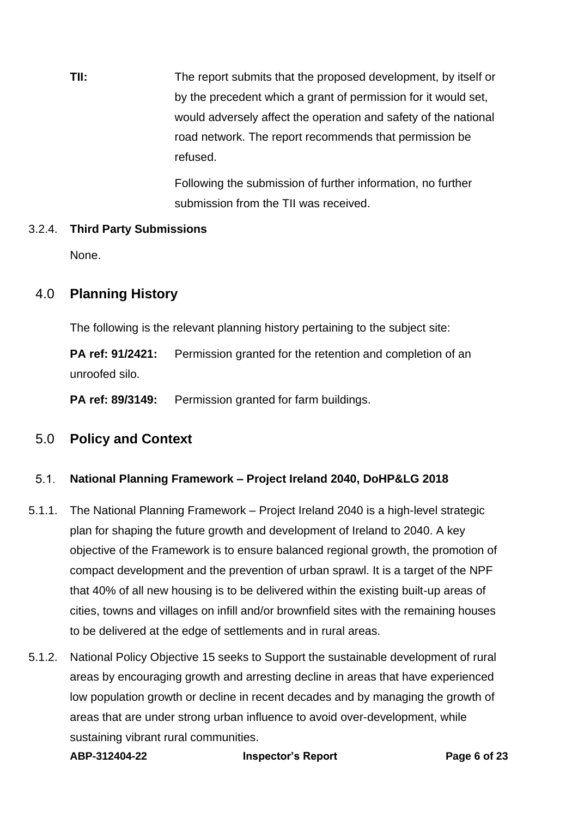**TII:** The report submits that the proposed development, by itself or by the precedent which a grant of permission for it would set, would adversely affect the operation and safety of the national road network. The report recommends that permission be refused.

> Following the submission of further information, no further submission from the TII was received.

### 3.2.4. **Third Party Submissions**

None.

# 4.0 **Planning History**

The following is the relevant planning history pertaining to the subject site:

**PA ref: 91/2421:** Permission granted for the retention and completion of an unroofed silo.

**PA ref: 89/3149:** Permission granted for farm buildings.

# 5.0 **Policy and Context**

#### $5.1.$ **National Planning Framework – Project Ireland 2040, DoHP&LG 2018**

- 5.1.1. The National Planning Framework Project Ireland 2040 is a high-level strategic plan for shaping the future growth and development of Ireland to 2040. A key objective of the Framework is to ensure balanced regional growth, the promotion of compact development and the prevention of urban sprawl. It is a target of the NPF that 40% of all new housing is to be delivered within the existing built-up areas of cities, towns and villages on infill and/or brownfield sites with the remaining houses to be delivered at the edge of settlements and in rural areas.
- 5.1.2. National Policy Objective 15 seeks to Support the sustainable development of rural areas by encouraging growth and arresting decline in areas that have experienced low population growth or decline in recent decades and by managing the growth of areas that are under strong urban influence to avoid over-development, while sustaining vibrant rural communities.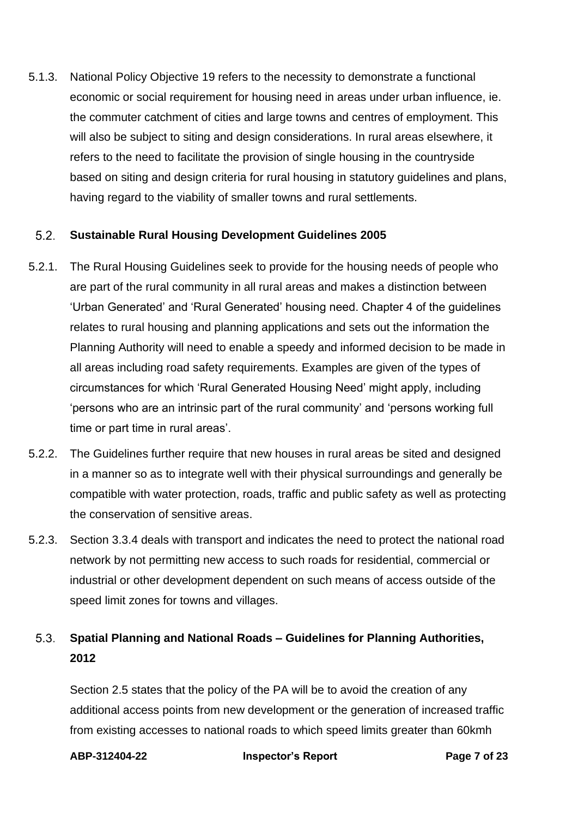5.1.3. National Policy Objective 19 refers to the necessity to demonstrate a functional economic or social requirement for housing need in areas under urban influence, ie. the commuter catchment of cities and large towns and centres of employment. This will also be subject to siting and design considerations. In rural areas elsewhere, it refers to the need to facilitate the provision of single housing in the countryside based on siting and design criteria for rural housing in statutory guidelines and plans, having regard to the viability of smaller towns and rural settlements.

#### $5.2.$ **Sustainable Rural Housing Development Guidelines 2005**

- 5.2.1. The Rural Housing Guidelines seek to provide for the housing needs of people who are part of the rural community in all rural areas and makes a distinction between 'Urban Generated' and 'Rural Generated' housing need. Chapter 4 of the guidelines relates to rural housing and planning applications and sets out the information the Planning Authority will need to enable a speedy and informed decision to be made in all areas including road safety requirements. Examples are given of the types of circumstances for which 'Rural Generated Housing Need' might apply, including 'persons who are an intrinsic part of the rural community' and 'persons working full time or part time in rural areas'.
- 5.2.2. The Guidelines further require that new houses in rural areas be sited and designed in a manner so as to integrate well with their physical surroundings and generally be compatible with water protection, roads, traffic and public safety as well as protecting the conservation of sensitive areas.
- 5.2.3. Section 3.3.4 deals with transport and indicates the need to protect the national road network by not permitting new access to such roads for residential, commercial or industrial or other development dependent on such means of access outside of the speed limit zones for towns and villages.

### $5.3.$ **Spatial Planning and National Roads – Guidelines for Planning Authorities, 2012**

Section 2.5 states that the policy of the PA will be to avoid the creation of any additional access points from new development or the generation of increased traffic from existing accesses to national roads to which speed limits greater than 60kmh

**ABP-312404-22 Inspector's Report Page 7 of 23**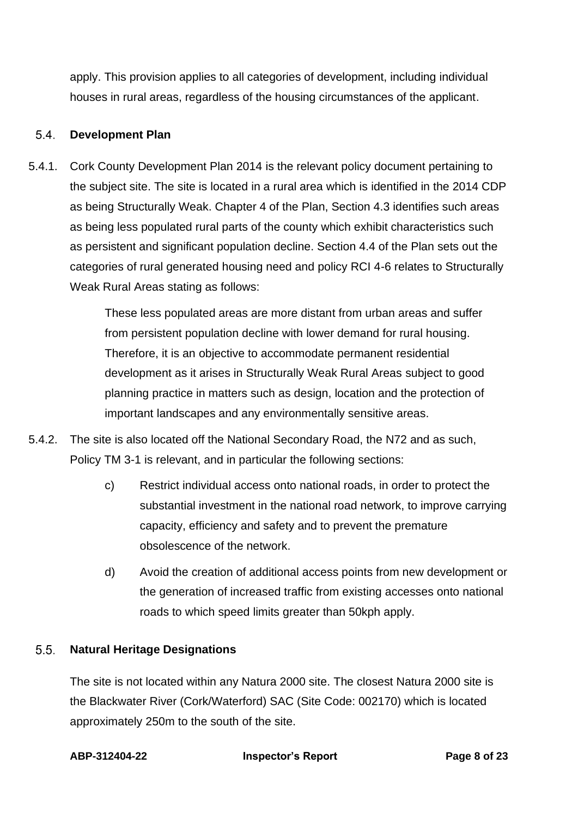apply. This provision applies to all categories of development, including individual houses in rural areas, regardless of the housing circumstances of the applicant.

#### $5.4.$ **Development Plan**

5.4.1. Cork County Development Plan 2014 is the relevant policy document pertaining to the subject site. The site is located in a rural area which is identified in the 2014 CDP as being Structurally Weak. Chapter 4 of the Plan, Section 4.3 identifies such areas as being less populated rural parts of the county which exhibit characteristics such as persistent and significant population decline. Section 4.4 of the Plan sets out the categories of rural generated housing need and policy RCI 4-6 relates to Structurally Weak Rural Areas stating as follows:

> These less populated areas are more distant from urban areas and suffer from persistent population decline with lower demand for rural housing. Therefore, it is an objective to accommodate permanent residential development as it arises in Structurally Weak Rural Areas subject to good planning practice in matters such as design, location and the protection of important landscapes and any environmentally sensitive areas.

- 5.4.2. The site is also located off the National Secondary Road, the N72 and as such, Policy TM 3-1 is relevant, and in particular the following sections:
	- c) Restrict individual access onto national roads, in order to protect the substantial investment in the national road network, to improve carrying capacity, efficiency and safety and to prevent the premature obsolescence of the network.
	- d) Avoid the creation of additional access points from new development or the generation of increased traffic from existing accesses onto national roads to which speed limits greater than 50kph apply.

#### $5.5$ **Natural Heritage Designations**

The site is not located within any Natura 2000 site. The closest Natura 2000 site is the Blackwater River (Cork/Waterford) SAC (Site Code: 002170) which is located approximately 250m to the south of the site.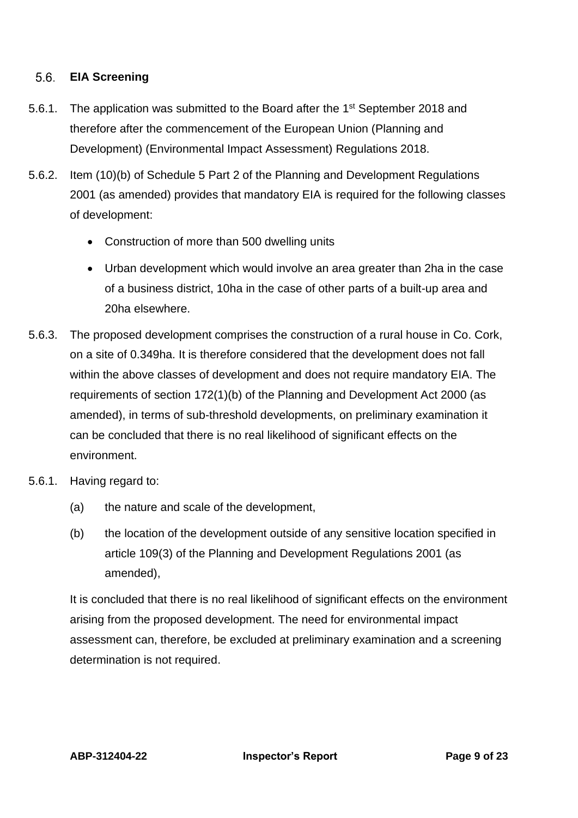#### $5.6.$ **EIA Screening**

- 5.6.1. The application was submitted to the Board after the 1<sup>st</sup> September 2018 and therefore after the commencement of the European Union (Planning and Development) (Environmental Impact Assessment) Regulations 2018.
- 5.6.2. Item (10)(b) of Schedule 5 Part 2 of the Planning and Development Regulations 2001 (as amended) provides that mandatory EIA is required for the following classes of development:
	- Construction of more than 500 dwelling units
	- Urban development which would involve an area greater than 2ha in the case of a business district, 10ha in the case of other parts of a built-up area and 20ha elsewhere.
- 5.6.3. The proposed development comprises the construction of a rural house in Co. Cork, on a site of 0.349ha. It is therefore considered that the development does not fall within the above classes of development and does not require mandatory EIA. The requirements of section 172(1)(b) of the Planning and Development Act 2000 (as amended), in terms of sub-threshold developments, on preliminary examination it can be concluded that there is no real likelihood of significant effects on the environment.
- 5.6.1. Having regard to:
	- (a) the nature and scale of the development,
	- (b) the location of the development outside of any sensitive location specified in article 109(3) of the Planning and Development Regulations 2001 (as amended),

It is concluded that there is no real likelihood of significant effects on the environment arising from the proposed development. The need for environmental impact assessment can, therefore, be excluded at preliminary examination and a screening determination is not required.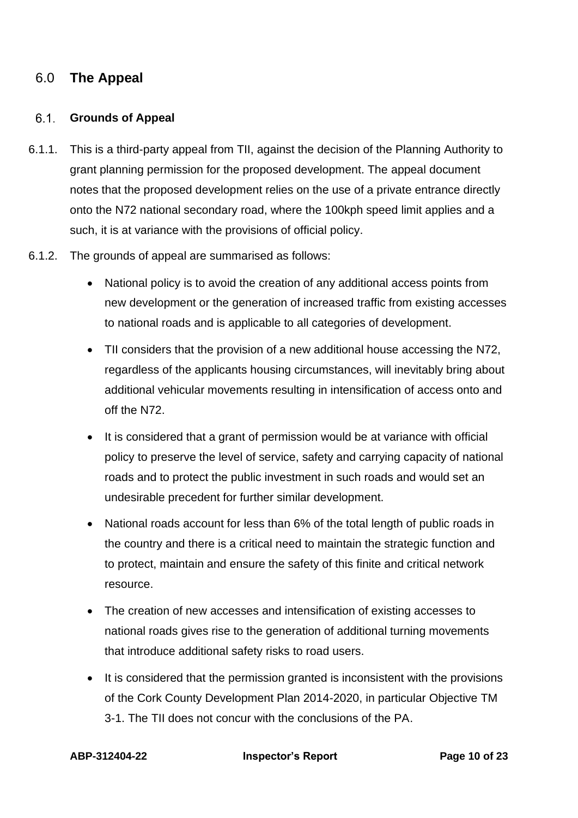# 6.0 **The Appeal**

### **Grounds of Appeal**

- 6.1.1. This is a third-party appeal from TII, against the decision of the Planning Authority to grant planning permission for the proposed development. The appeal document notes that the proposed development relies on the use of a private entrance directly onto the N72 national secondary road, where the 100kph speed limit applies and a such, it is at variance with the provisions of official policy.
- 6.1.2. The grounds of appeal are summarised as follows:
	- National policy is to avoid the creation of any additional access points from new development or the generation of increased traffic from existing accesses to national roads and is applicable to all categories of development.
	- TII considers that the provision of a new additional house accessing the N72, regardless of the applicants housing circumstances, will inevitably bring about additional vehicular movements resulting in intensification of access onto and off the N72.
	- It is considered that a grant of permission would be at variance with official policy to preserve the level of service, safety and carrying capacity of national roads and to protect the public investment in such roads and would set an undesirable precedent for further similar development.
	- National roads account for less than 6% of the total length of public roads in the country and there is a critical need to maintain the strategic function and to protect, maintain and ensure the safety of this finite and critical network resource.
	- The creation of new accesses and intensification of existing accesses to national roads gives rise to the generation of additional turning movements that introduce additional safety risks to road users.
	- It is considered that the permission granted is inconsistent with the provisions of the Cork County Development Plan 2014-2020, in particular Objective TM 3-1. The TII does not concur with the conclusions of the PA.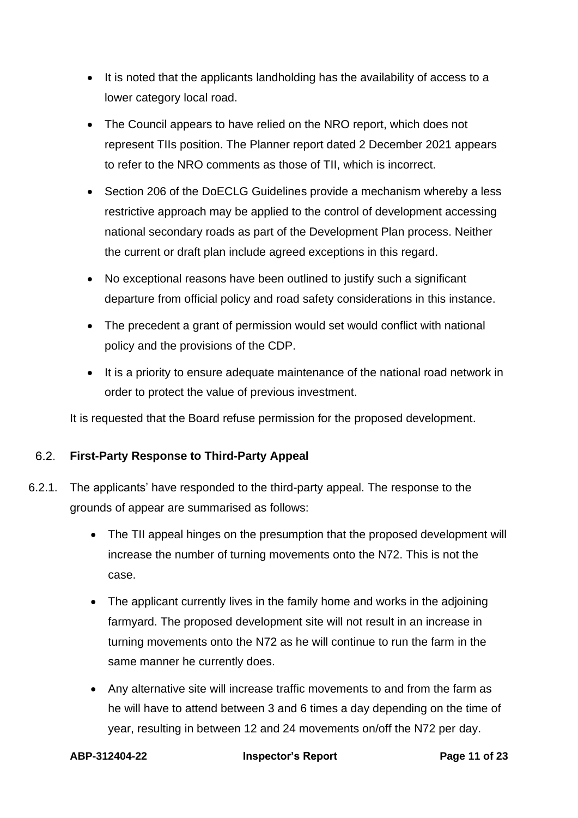- It is noted that the applicants landholding has the availability of access to a lower category local road.
- The Council appears to have relied on the NRO report, which does not represent TIIs position. The Planner report dated 2 December 2021 appears to refer to the NRO comments as those of TII, which is incorrect.
- Section 206 of the DoECLG Guidelines provide a mechanism whereby a less restrictive approach may be applied to the control of development accessing national secondary roads as part of the Development Plan process. Neither the current or draft plan include agreed exceptions in this regard.
- No exceptional reasons have been outlined to justify such a significant departure from official policy and road safety considerations in this instance.
- The precedent a grant of permission would set would conflict with national policy and the provisions of the CDP.
- It is a priority to ensure adequate maintenance of the national road network in order to protect the value of previous investment.

It is requested that the Board refuse permission for the proposed development.

### $6.2.$ **First-Party Response to Third-Party Appeal**

- 6.2.1. The applicants' have responded to the third-party appeal. The response to the grounds of appear are summarised as follows:
	- The TII appeal hinges on the presumption that the proposed development will increase the number of turning movements onto the N72. This is not the case.
	- The applicant currently lives in the family home and works in the adioining farmyard. The proposed development site will not result in an increase in turning movements onto the N72 as he will continue to run the farm in the same manner he currently does.
	- Any alternative site will increase traffic movements to and from the farm as he will have to attend between 3 and 6 times a day depending on the time of year, resulting in between 12 and 24 movements on/off the N72 per day.

**ABP-312404-22 Inspector's Report Page 11 of 23**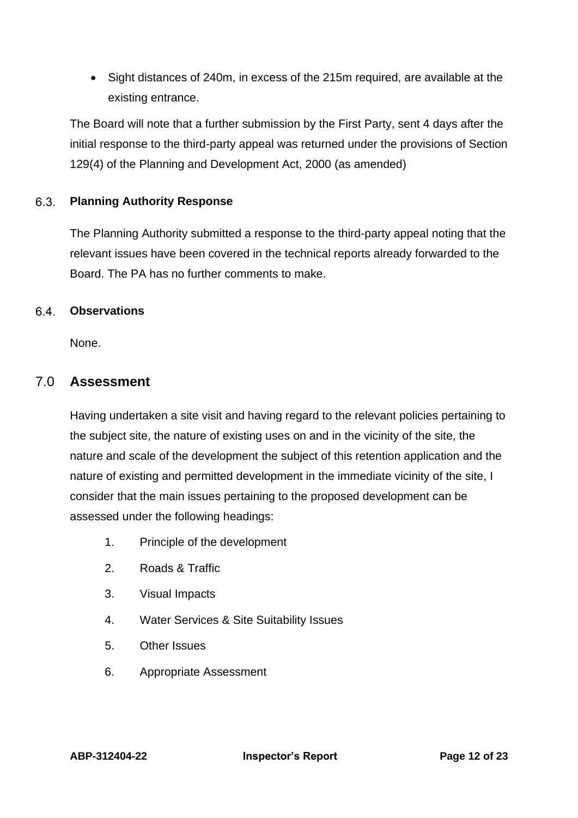• Sight distances of 240m, in excess of the 215m required, are available at the existing entrance.

The Board will note that a further submission by the First Party, sent 4 days after the initial response to the third-party appeal was returned under the provisions of Section 129(4) of the Planning and Development Act, 2000 (as amended)

### $6.3.$ **Planning Authority Response**

The Planning Authority submitted a response to the third-party appeal noting that the relevant issues have been covered in the technical reports already forwarded to the Board. The PA has no further comments to make.

#### 6.4. **Observations**

None.

## 7.0 **Assessment**

Having undertaken a site visit and having regard to the relevant policies pertaining to the subject site, the nature of existing uses on and in the vicinity of the site, the nature and scale of the development the subject of this retention application and the nature of existing and permitted development in the immediate vicinity of the site, I consider that the main issues pertaining to the proposed development can be assessed under the following headings:

- 1. Principle of the development
- 2. Roads & Traffic
- 3. Visual Impacts
- 4. Water Services & Site Suitability Issues
- 5. Other Issues
- 6. Appropriate Assessment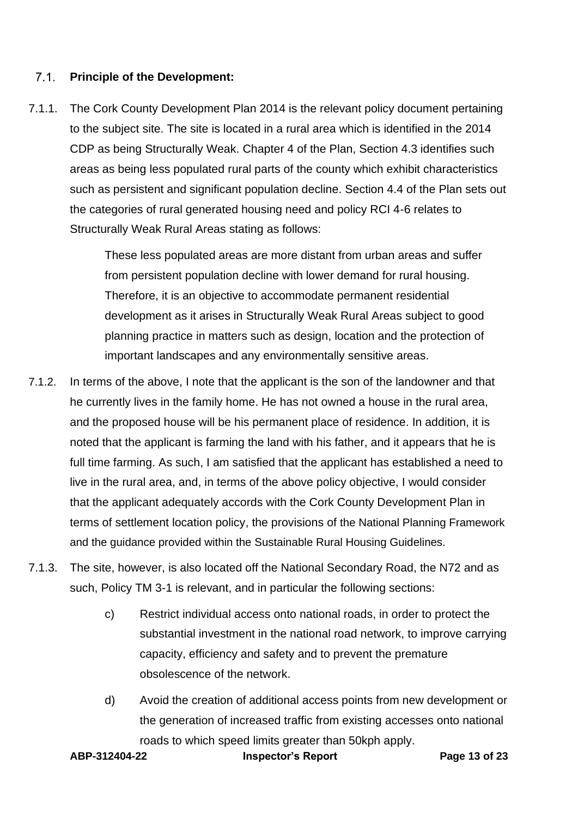#### $7.1.$ **Principle of the Development:**

7.1.1. The Cork County Development Plan 2014 is the relevant policy document pertaining to the subject site. The site is located in a rural area which is identified in the 2014 CDP as being Structurally Weak. Chapter 4 of the Plan, Section 4.3 identifies such areas as being less populated rural parts of the county which exhibit characteristics such as persistent and significant population decline. Section 4.4 of the Plan sets out the categories of rural generated housing need and policy RCI 4-6 relates to Structurally Weak Rural Areas stating as follows:

> These less populated areas are more distant from urban areas and suffer from persistent population decline with lower demand for rural housing. Therefore, it is an objective to accommodate permanent residential development as it arises in Structurally Weak Rural Areas subject to good planning practice in matters such as design, location and the protection of important landscapes and any environmentally sensitive areas.

- 7.1.2. In terms of the above, I note that the applicant is the son of the landowner and that he currently lives in the family home. He has not owned a house in the rural area, and the proposed house will be his permanent place of residence. In addition, it is noted that the applicant is farming the land with his father, and it appears that he is full time farming. As such, I am satisfied that the applicant has established a need to live in the rural area, and, in terms of the above policy objective, I would consider that the applicant adequately accords with the Cork County Development Plan in terms of settlement location policy, the provisions of the National Planning Framework and the guidance provided within the Sustainable Rural Housing Guidelines.
- 7.1.3. The site, however, is also located off the National Secondary Road, the N72 and as such, Policy TM 3-1 is relevant, and in particular the following sections:
	- c) Restrict individual access onto national roads, in order to protect the substantial investment in the national road network, to improve carrying capacity, efficiency and safety and to prevent the premature obsolescence of the network.
	- d) Avoid the creation of additional access points from new development or the generation of increased traffic from existing accesses onto national roads to which speed limits greater than 50kph apply.

**ABP-312404-22 Inspector's Report Page 13 of 23**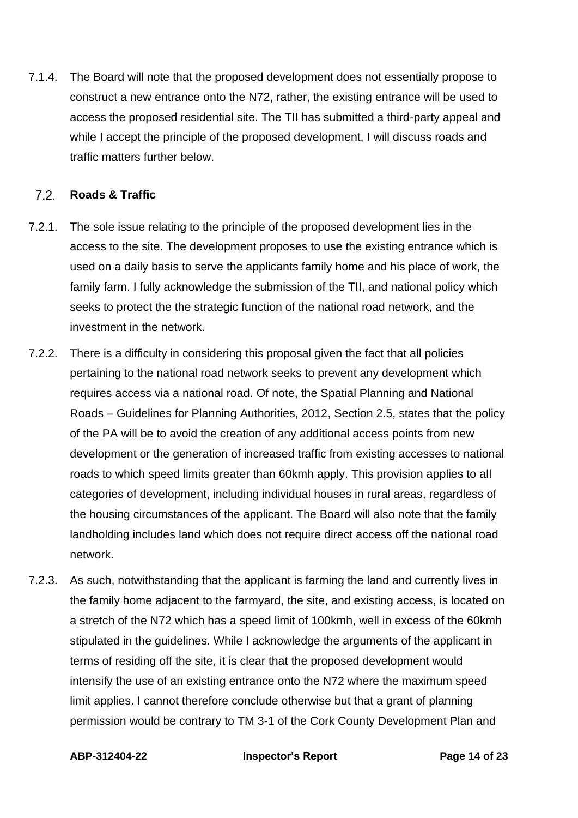7.1.4. The Board will note that the proposed development does not essentially propose to construct a new entrance onto the N72, rather, the existing entrance will be used to access the proposed residential site. The TII has submitted a third-party appeal and while I accept the principle of the proposed development, I will discuss roads and traffic matters further below.

#### $7.2.$ **Roads & Traffic**

- 7.2.1. The sole issue relating to the principle of the proposed development lies in the access to the site. The development proposes to use the existing entrance which is used on a daily basis to serve the applicants family home and his place of work, the family farm. I fully acknowledge the submission of the TII, and national policy which seeks to protect the the strategic function of the national road network, and the investment in the network.
- 7.2.2. There is a difficulty in considering this proposal given the fact that all policies pertaining to the national road network seeks to prevent any development which requires access via a national road. Of note, the Spatial Planning and National Roads – Guidelines for Planning Authorities, 2012, Section 2.5, states that the policy of the PA will be to avoid the creation of any additional access points from new development or the generation of increased traffic from existing accesses to national roads to which speed limits greater than 60kmh apply. This provision applies to all categories of development, including individual houses in rural areas, regardless of the housing circumstances of the applicant. The Board will also note that the family landholding includes land which does not require direct access off the national road network.
- 7.2.3. As such, notwithstanding that the applicant is farming the land and currently lives in the family home adjacent to the farmyard, the site, and existing access, is located on a stretch of the N72 which has a speed limit of 100kmh, well in excess of the 60kmh stipulated in the guidelines. While I acknowledge the arguments of the applicant in terms of residing off the site, it is clear that the proposed development would intensify the use of an existing entrance onto the N72 where the maximum speed limit applies. I cannot therefore conclude otherwise but that a grant of planning permission would be contrary to TM 3-1 of the Cork County Development Plan and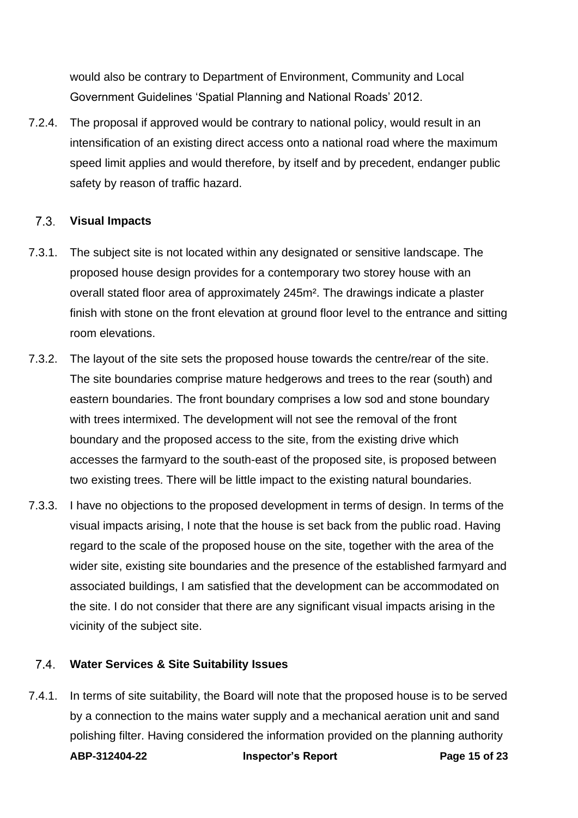would also be contrary to Department of Environment, Community and Local Government Guidelines 'Spatial Planning and National Roads' 2012.

7.2.4. The proposal if approved would be contrary to national policy, would result in an intensification of an existing direct access onto a national road where the maximum speed limit applies and would therefore, by itself and by precedent, endanger public safety by reason of traffic hazard.

#### $7.3$ **Visual Impacts**

- 7.3.1. The subject site is not located within any designated or sensitive landscape. The proposed house design provides for a contemporary two storey house with an overall stated floor area of approximately 245m². The drawings indicate a plaster finish with stone on the front elevation at ground floor level to the entrance and sitting room elevations.
- 7.3.2. The layout of the site sets the proposed house towards the centre/rear of the site. The site boundaries comprise mature hedgerows and trees to the rear (south) and eastern boundaries. The front boundary comprises a low sod and stone boundary with trees intermixed. The development will not see the removal of the front boundary and the proposed access to the site, from the existing drive which accesses the farmyard to the south-east of the proposed site, is proposed between two existing trees. There will be little impact to the existing natural boundaries.
- 7.3.3. I have no objections to the proposed development in terms of design. In terms of the visual impacts arising, I note that the house is set back from the public road. Having regard to the scale of the proposed house on the site, together with the area of the wider site, existing site boundaries and the presence of the established farmyard and associated buildings, I am satisfied that the development can be accommodated on the site. I do not consider that there are any significant visual impacts arising in the vicinity of the subject site.

#### $7.4.$ **Water Services & Site Suitability Issues**

**ABP-312404-22 Inspector's Report Page 15 of 23** 7.4.1. In terms of site suitability, the Board will note that the proposed house is to be served by a connection to the mains water supply and a mechanical aeration unit and sand polishing filter. Having considered the information provided on the planning authority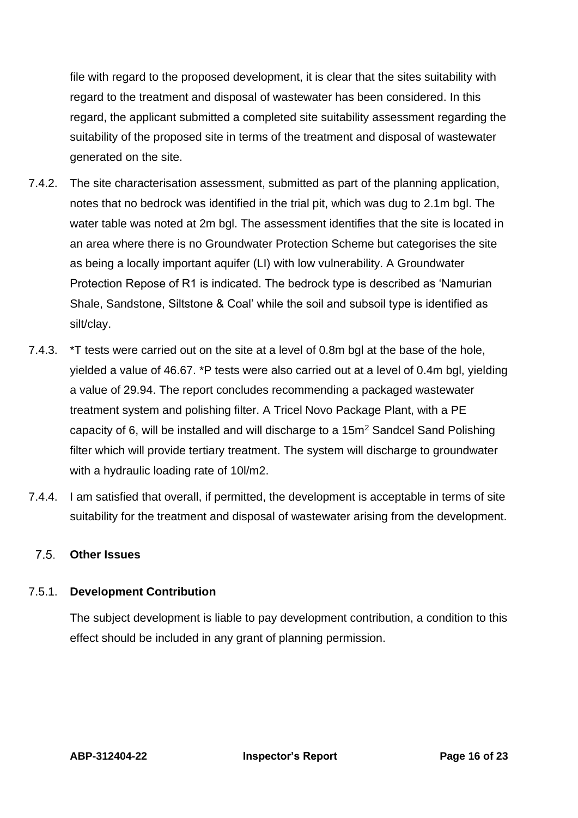file with regard to the proposed development, it is clear that the sites suitability with regard to the treatment and disposal of wastewater has been considered. In this regard, the applicant submitted a completed site suitability assessment regarding the suitability of the proposed site in terms of the treatment and disposal of wastewater generated on the site.

- 7.4.2. The site characterisation assessment, submitted as part of the planning application, notes that no bedrock was identified in the trial pit, which was dug to 2.1m bgl. The water table was noted at 2m bgl. The assessment identifies that the site is located in an area where there is no Groundwater Protection Scheme but categorises the site as being a locally important aquifer (LI) with low vulnerability. A Groundwater Protection Repose of R1 is indicated. The bedrock type is described as 'Namurian Shale, Sandstone, Siltstone & Coal' while the soil and subsoil type is identified as silt/clay.
- 7.4.3. \*T tests were carried out on the site at a level of 0.8m bgl at the base of the hole, yielded a value of 46.67. \*P tests were also carried out at a level of 0.4m bgl, yielding a value of 29.94. The report concludes recommending a packaged wastewater treatment system and polishing filter. A Tricel Novo Package Plant, with a PE capacity of 6, will be installed and will discharge to a 15m<sup>2</sup> Sandcel Sand Polishing filter which will provide tertiary treatment. The system will discharge to groundwater with a hydraulic loading rate of 10l/m2.
- 7.4.4. I am satisfied that overall, if permitted, the development is acceptable in terms of site suitability for the treatment and disposal of wastewater arising from the development.

#### $7.5$ **Other Issues**

### 7.5.1. **Development Contribution**

The subject development is liable to pay development contribution, a condition to this effect should be included in any grant of planning permission.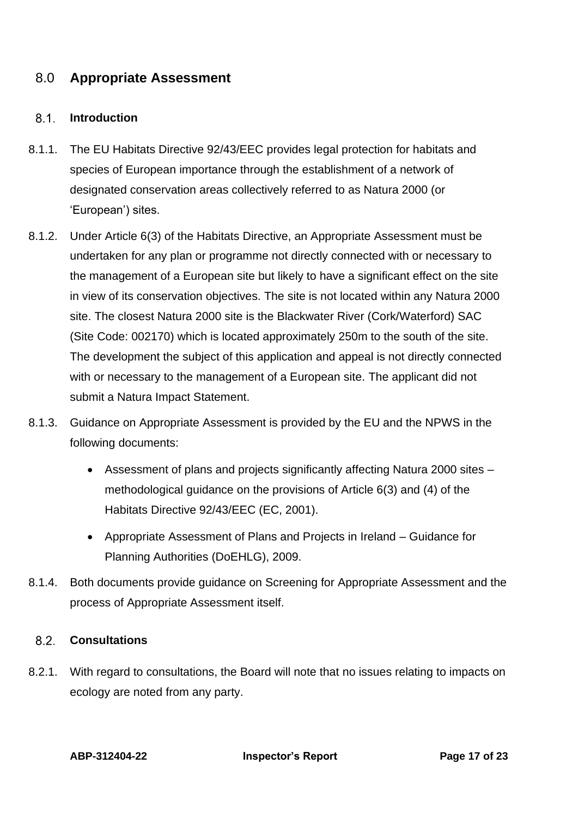# 8.0 **Appropriate Assessment**

#### $8.1.$ **Introduction**

- 8.1.1. The EU Habitats Directive 92/43/EEC provides legal protection for habitats and species of European importance through the establishment of a network of designated conservation areas collectively referred to as Natura 2000 (or 'European') sites.
- 8.1.2. Under Article 6(3) of the Habitats Directive, an Appropriate Assessment must be undertaken for any plan or programme not directly connected with or necessary to the management of a European site but likely to have a significant effect on the site in view of its conservation objectives. The site is not located within any Natura 2000 site. The closest Natura 2000 site is the Blackwater River (Cork/Waterford) SAC (Site Code: 002170) which is located approximately 250m to the south of the site. The development the subject of this application and appeal is not directly connected with or necessary to the management of a European site. The applicant did not submit a Natura Impact Statement.
- 8.1.3. Guidance on Appropriate Assessment is provided by the EU and the NPWS in the following documents:
	- Assessment of plans and projects significantly affecting Natura 2000 sites methodological guidance on the provisions of Article 6(3) and (4) of the Habitats Directive 92/43/EEC (EC, 2001).
	- Appropriate Assessment of Plans and Projects in Ireland Guidance for Planning Authorities (DoEHLG), 2009.
- 8.1.4. Both documents provide guidance on Screening for Appropriate Assessment and the process of Appropriate Assessment itself.

#### $8.2.$ **Consultations**

8.2.1. With regard to consultations, the Board will note that no issues relating to impacts on ecology are noted from any party.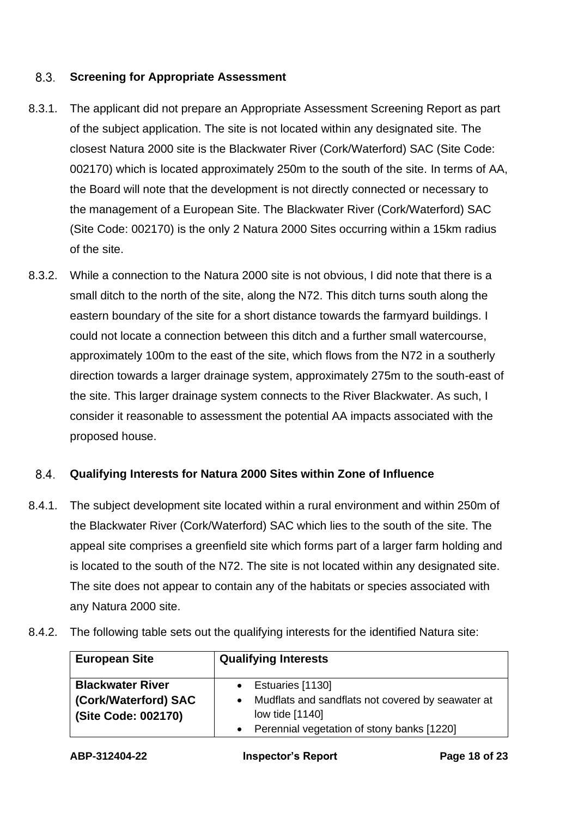#### $8.3.$ **Screening for Appropriate Assessment**

- 8.3.1. The applicant did not prepare an Appropriate Assessment Screening Report as part of the subject application. The site is not located within any designated site. The closest Natura 2000 site is the Blackwater River (Cork/Waterford) SAC (Site Code: 002170) which is located approximately 250m to the south of the site. In terms of AA, the Board will note that the development is not directly connected or necessary to the management of a European Site. The Blackwater River (Cork/Waterford) SAC (Site Code: 002170) is the only 2 Natura 2000 Sites occurring within a 15km radius of the site.
- 8.3.2. While a connection to the Natura 2000 site is not obvious, I did note that there is a small ditch to the north of the site, along the N72. This ditch turns south along the eastern boundary of the site for a short distance towards the farmyard buildings. I could not locate a connection between this ditch and a further small watercourse, approximately 100m to the east of the site, which flows from the N72 in a southerly direction towards a larger drainage system, approximately 275m to the south-east of the site. This larger drainage system connects to the River Blackwater. As such, I consider it reasonable to assessment the potential AA impacts associated with the proposed house.

#### $8.4.$ **Qualifying Interests for Natura 2000 Sites within Zone of Influence**

8.4.1. The subject development site located within a rural environment and within 250m of the Blackwater River (Cork/Waterford) SAC which lies to the south of the site. The appeal site comprises a greenfield site which forms part of a larger farm holding and is located to the south of the N72. The site is not located within any designated site. The site does not appear to contain any of the habitats or species associated with any Natura 2000 site.

| <b>European Site</b>    | <b>Qualifying Interests</b>                       |
|-------------------------|---------------------------------------------------|
| <b>Blackwater River</b> | Estuaries [1130]                                  |
| (Cork/Waterford) SAC    | Mudflats and sandflats not covered by seawater at |
| (Site Code: 002170)     | low tide [1140]                                   |
|                         | • Perennial vegetation of stony banks [1220]      |

8.4.2. The following table sets out the qualifying interests for the identified Natura site: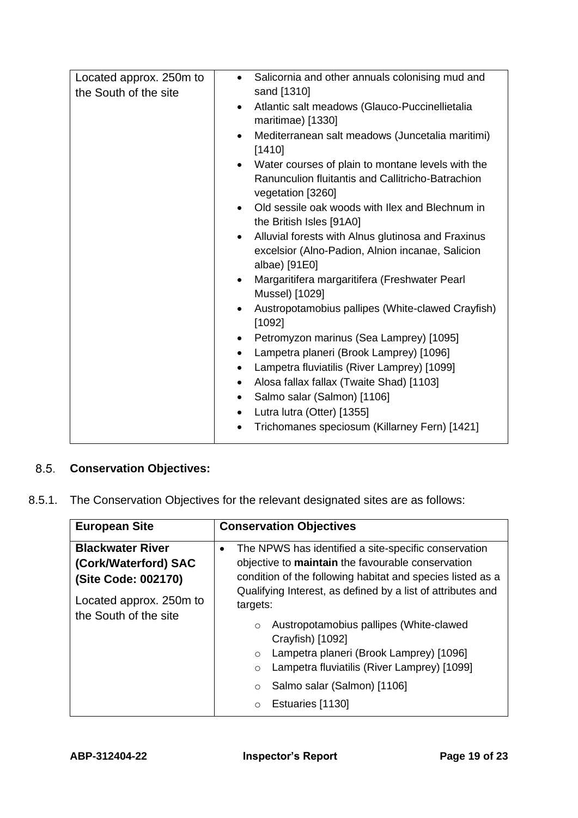| Located approx. 250m to<br>the South of the site | Salicornia and other annuals colonising mud and<br>$\bullet$<br>sand [1310]<br>Atlantic salt meadows (Glauco-Puccinellietalia<br>$\bullet$<br>maritimae) [1330]<br>Mediterranean salt meadows (Juncetalia maritimi)<br>$\bullet$<br>[1410]<br>Water courses of plain to montane levels with the<br>$\bullet$<br>Ranunculion fluitantis and Callitricho-Batrachion<br>vegetation [3260]<br>Old sessile oak woods with Ilex and Blechnum in<br>$\bullet$<br>the British Isles [91A0]<br>Alluvial forests with Alnus glutinosa and Fraxinus<br>$\bullet$ |
|--------------------------------------------------|-------------------------------------------------------------------------------------------------------------------------------------------------------------------------------------------------------------------------------------------------------------------------------------------------------------------------------------------------------------------------------------------------------------------------------------------------------------------------------------------------------------------------------------------------------|
|                                                  |                                                                                                                                                                                                                                                                                                                                                                                                                                                                                                                                                       |
|                                                  |                                                                                                                                                                                                                                                                                                                                                                                                                                                                                                                                                       |
|                                                  |                                                                                                                                                                                                                                                                                                                                                                                                                                                                                                                                                       |
|                                                  |                                                                                                                                                                                                                                                                                                                                                                                                                                                                                                                                                       |
|                                                  |                                                                                                                                                                                                                                                                                                                                                                                                                                                                                                                                                       |
|                                                  |                                                                                                                                                                                                                                                                                                                                                                                                                                                                                                                                                       |
|                                                  | excelsior (Alno-Padion, Alnion incanae, Salicion<br>albae) [91E0]                                                                                                                                                                                                                                                                                                                                                                                                                                                                                     |
|                                                  | Margaritifera margaritifera (Freshwater Pearl<br>$\bullet$<br>Mussel) [1029]                                                                                                                                                                                                                                                                                                                                                                                                                                                                          |
|                                                  | Austropotamobius pallipes (White-clawed Crayfish)<br>$\bullet$<br>[1092]                                                                                                                                                                                                                                                                                                                                                                                                                                                                              |
|                                                  | Petromyzon marinus (Sea Lamprey) [1095]<br>$\bullet$                                                                                                                                                                                                                                                                                                                                                                                                                                                                                                  |
|                                                  | Lampetra planeri (Brook Lamprey) [1096]<br>$\bullet$                                                                                                                                                                                                                                                                                                                                                                                                                                                                                                  |
|                                                  | Lampetra fluviatilis (River Lamprey) [1099]<br>$\bullet$                                                                                                                                                                                                                                                                                                                                                                                                                                                                                              |
|                                                  | Alosa fallax fallax (Twaite Shad) [1103]<br>$\bullet$                                                                                                                                                                                                                                                                                                                                                                                                                                                                                                 |
|                                                  | Salmo salar (Salmon) [1106]<br>٠                                                                                                                                                                                                                                                                                                                                                                                                                                                                                                                      |
|                                                  | Lutra lutra (Otter) [1355]<br>$\bullet$                                                                                                                                                                                                                                                                                                                                                                                                                                                                                                               |
|                                                  | Trichomanes speciosum (Killarney Fern) [1421]                                                                                                                                                                                                                                                                                                                                                                                                                                                                                                         |

# **Conservation Objectives:**

8.5.1. The Conservation Objectives for the relevant designated sites are as follows:

| <b>European Site</b>                                                                                                       | <b>Conservation Objectives</b>                                                                                                                                                                                                                                                                                                                                                                                                                                                                      |
|----------------------------------------------------------------------------------------------------------------------------|-----------------------------------------------------------------------------------------------------------------------------------------------------------------------------------------------------------------------------------------------------------------------------------------------------------------------------------------------------------------------------------------------------------------------------------------------------------------------------------------------------|
| <b>Blackwater River</b><br>(Cork/Waterford) SAC<br>(Site Code: 002170)<br>Located approx. 250m to<br>the South of the site | The NPWS has identified a site-specific conservation<br>$\bullet$<br>objective to maintain the favourable conservation<br>condition of the following habitat and species listed as a<br>Qualifying Interest, as defined by a list of attributes and<br>targets:<br>Austropotamobius pallipes (White-clawed<br>$\circ$<br>Crayfish) [1092]<br>Lampetra planeri (Brook Lamprey) [1096]<br>$\circ$<br>Lampetra fluviatilis (River Lamprey) [1099]<br>$\circ$<br>Salmo salar (Salmon) [1106]<br>$\circ$ |
|                                                                                                                            | Estuaries [1130]<br>$\Omega$                                                                                                                                                                                                                                                                                                                                                                                                                                                                        |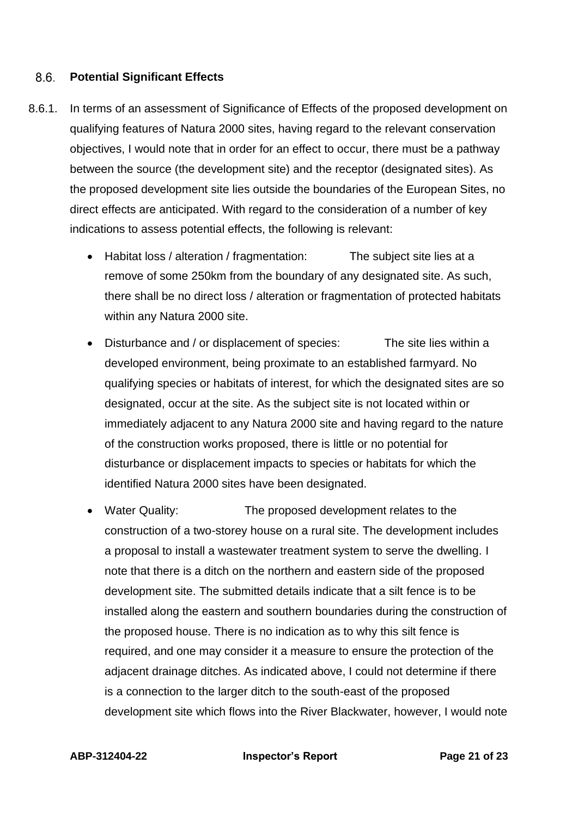#### $8.6.$ **Potential Significant Effects**

- 8.6.1. In terms of an assessment of Significance of Effects of the proposed development on qualifying features of Natura 2000 sites, having regard to the relevant conservation objectives, I would note that in order for an effect to occur, there must be a pathway between the source (the development site) and the receptor (designated sites). As the proposed development site lies outside the boundaries of the European Sites, no direct effects are anticipated. With regard to the consideration of a number of key indications to assess potential effects, the following is relevant:
	- Habitat loss / alteration / fragmentation: The subject site lies at a remove of some 250km from the boundary of any designated site. As such, there shall be no direct loss / alteration or fragmentation of protected habitats within any Natura 2000 site.
	- Disturbance and / or displacement of species: The site lies within a developed environment, being proximate to an established farmyard. No qualifying species or habitats of interest, for which the designated sites are so designated, occur at the site. As the subject site is not located within or immediately adjacent to any Natura 2000 site and having regard to the nature of the construction works proposed, there is little or no potential for disturbance or displacement impacts to species or habitats for which the identified Natura 2000 sites have been designated.
	- Water Quality: The proposed development relates to the construction of a two-storey house on a rural site. The development includes a proposal to install a wastewater treatment system to serve the dwelling. I note that there is a ditch on the northern and eastern side of the proposed development site. The submitted details indicate that a silt fence is to be installed along the eastern and southern boundaries during the construction of the proposed house. There is no indication as to why this silt fence is required, and one may consider it a measure to ensure the protection of the adjacent drainage ditches. As indicated above, I could not determine if there is a connection to the larger ditch to the south-east of the proposed development site which flows into the River Blackwater, however, I would note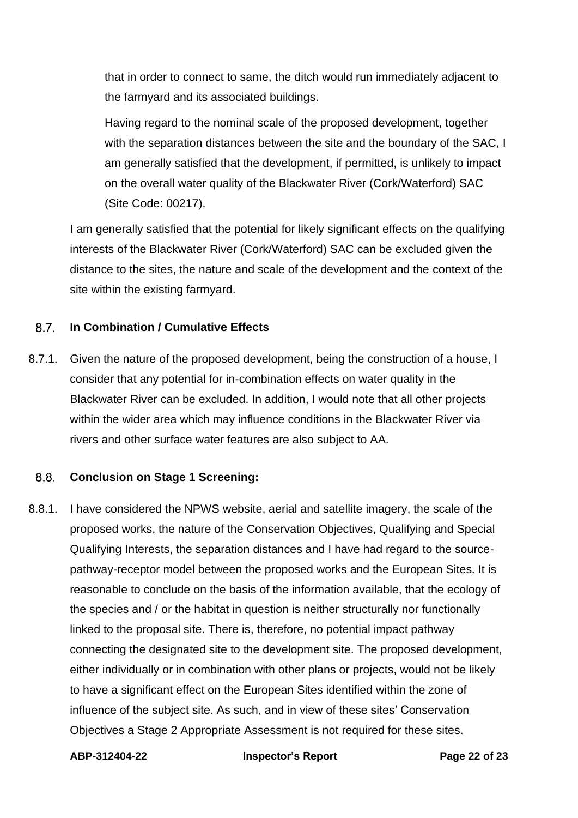that in order to connect to same, the ditch would run immediately adjacent to the farmyard and its associated buildings.

Having regard to the nominal scale of the proposed development, together with the separation distances between the site and the boundary of the SAC, I am generally satisfied that the development, if permitted, is unlikely to impact on the overall water quality of the Blackwater River (Cork/Waterford) SAC (Site Code: 00217).

I am generally satisfied that the potential for likely significant effects on the qualifying interests of the Blackwater River (Cork/Waterford) SAC can be excluded given the distance to the sites, the nature and scale of the development and the context of the site within the existing farmyard.

#### 8.7 **In Combination / Cumulative Effects**

8.7.1. Given the nature of the proposed development, being the construction of a house, I consider that any potential for in-combination effects on water quality in the Blackwater River can be excluded. In addition, I would note that all other projects within the wider area which may influence conditions in the Blackwater River via rivers and other surface water features are also subject to AA.

#### $8.8.$ **Conclusion on Stage 1 Screening:**

8.8.1. I have considered the NPWS website, aerial and satellite imagery, the scale of the proposed works, the nature of the Conservation Objectives, Qualifying and Special Qualifying Interests, the separation distances and I have had regard to the sourcepathway-receptor model between the proposed works and the European Sites. It is reasonable to conclude on the basis of the information available, that the ecology of the species and / or the habitat in question is neither structurally nor functionally linked to the proposal site. There is, therefore, no potential impact pathway connecting the designated site to the development site. The proposed development, either individually or in combination with other plans or projects, would not be likely to have a significant effect on the European Sites identified within the zone of influence of the subject site. As such, and in view of these sites' Conservation Objectives a Stage 2 Appropriate Assessment is not required for these sites.

**ABP-312404-22 Inspector's Report Page 22 of 23**